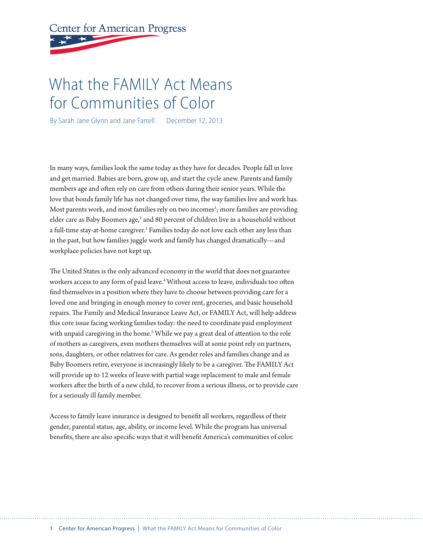# **Center for American Progress**

## What the FAMILY Act Means for Communities of Color

By Sarah Jane Glynn and Jane Farrell December 12, 2013

In many ways, families look the same today as they have for decades. People fall in love and get married. Babies are born, grow up, and start the cycle anew. Parents and family members age and often rely on care from others during their senior years. While the love that bonds family life has not changed over time, the way families live and work has. Most parents work, and most families rely on two incomes<sup>1</sup>; more families are providing elder care as Baby Boomers age,<sup>2</sup> and 80 percent of children live in a household without a full-time stay-at-home caregiver.<sup>3</sup> Families today do not love each other any less than in the past, but how families juggle work and family has changed dramatically—and workplace policies have not kept up.

The United States is the only advanced economy in the world that does not guarantee workers access to any form of paid leave.4 Without access to leave, individuals too often find themselves in a position where they have to choose between providing care for a loved one and bringing in enough money to cover rent, groceries, and basic household repairs. The Family and Medical Insurance Leave Act, or FAMILY Act, will help address this core issue facing working families today: the need to coordinate paid employment with unpaid caregiving in the home.<sup>5</sup> While we pay a great deal of attention to the role of mothers as caregivers, even mothers themselves will at some point rely on partners, sons, daughters, or other relatives for care. As gender roles and families change and as Baby Boomers retire, everyone is increasingly likely to be a caregiver. The FAMILY Act will provide up to 12 weeks of leave with partial wage replacement to male and female workers after the birth of a new child, to recover from a serious illness, or to provide care for a seriously ill family member.

Access to family leave insurance is designed to benefit all workers, regardless of their gender, parental status, age, ability, or income level. While the program has universal benefits, there are also specific ways that it will benefit America's communities of color.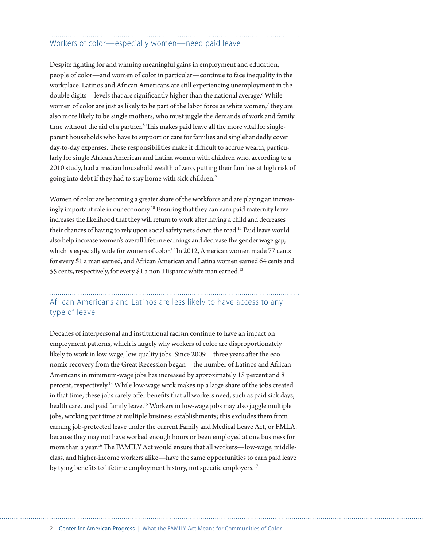### Workers of color—especially women—need paid leave

Despite fighting for and winning meaningful gains in employment and education, people of color—and women of color in particular—continue to face inequality in the workplace. Latinos and African Americans are still experiencing unemployment in the double digits—levels that are significantly higher than the national average.<sup>6</sup> While women of color are just as likely to be part of the labor force as white women, $^7$  they are also more likely to be single mothers, who must juggle the demands of work and family time without the aid of a partner.<sup>8</sup> This makes paid leave all the more vital for singleparent households who have to support or care for families and singlehandedly cover day-to-day expenses. These responsibilities make it difficult to accrue wealth, particularly for single African American and Latina women with children who, according to a 2010 study, had a median household wealth of zero, putting their families at high risk of going into debt if they had to stay home with sick children.<sup>9</sup>

Women of color are becoming a greater share of the workforce and are playing an increasingly important role in our economy.<sup>10</sup> Ensuring that they can earn paid maternity leave increases the likelihood that they will return to work after having a child and decreases their chances of having to rely upon social safety nets down the road.<sup>11</sup> Paid leave would also help increase women's overall lifetime earnings and decrease the gender wage gap, which is especially wide for women of color.<sup>12</sup> In 2012, American women made 77 cents for every \$1 a man earned, and African American and Latina women earned 64 cents and 55 cents, respectively, for every \$1 a non-Hispanic white man earned.13

#### African Americans and Latinos are less likely to have access to any type of leave

Decades of interpersonal and institutional racism continue to have an impact on employment patterns, which is largely why workers of color are disproportionately likely to work in low-wage, low-quality jobs. Since 2009—three years after the economic recovery from the Great Recession began—the number of Latinos and African Americans in minimum-wage jobs has increased by approximately 15 percent and 8 percent, respectively.14 While low-wage work makes up a large share of the jobs created in that time, these jobs rarely offer benefits that all workers need, such as paid sick days, health care, and paid family leave.<sup>15</sup> Workers in low-wage jobs may also juggle multiple jobs, working part time at multiple business establishments; this excludes them from earning job-protected leave under the current Family and Medical Leave Act, or FMLA, because they may not have worked enough hours or been employed at one business for more than a year.<sup>16</sup> The FAMILY Act would ensure that all workers—low-wage, middleclass, and higher-income workers alike—have the same opportunities to earn paid leave by tying benefits to lifetime employment history, not specific employers.<sup>17</sup>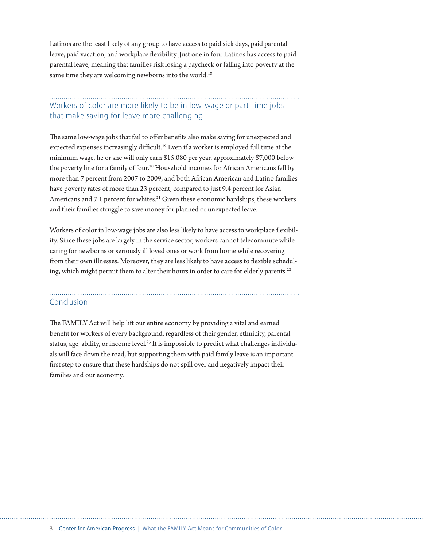Latinos are the least likely of any group to have access to paid sick days, paid parental leave, paid vacation, and workplace flexibility. Just one in four Latinos has access to paid parental leave, meaning that families risk losing a paycheck or falling into poverty at the same time they are welcoming newborns into the world.<sup>18</sup>

#### Workers of color are more likely to be in low-wage or part-time jobs that make saving for leave more challenging

The same low-wage jobs that fail to offer benefits also make saving for unexpected and expected expenses increasingly difficult.<sup>19</sup> Even if a worker is employed full time at the minimum wage, he or she will only earn \$15,080 per year, approximately \$7,000 below the poverty line for a family of four.<sup>20</sup> Household incomes for African Americans fell by more than 7 percent from 2007 to 2009, and both African American and Latino families have poverty rates of more than 23 percent, compared to just 9.4 percent for Asian Americans and 7.1 percent for whites.<sup>21</sup> Given these economic hardships, these workers and their families struggle to save money for planned or unexpected leave.

Workers of color in low-wage jobs are also less likely to have access to workplace flexibility. Since these jobs are largely in the service sector, workers cannot telecommute while caring for newborns or seriously ill loved ones or work from home while recovering from their own illnesses. Moreover, they are less likely to have access to flexible scheduling, which might permit them to alter their hours in order to care for elderly parents.<sup>22</sup>

#### Conclusion

The FAMILY Act will help lift our entire economy by providing a vital and earned benefit for workers of every background, regardless of their gender, ethnicity, parental status, age, ability, or income level.<sup>23</sup> It is impossible to predict what challenges individuals will face down the road, but supporting them with paid family leave is an important first step to ensure that these hardships do not spill over and negatively impact their families and our economy.